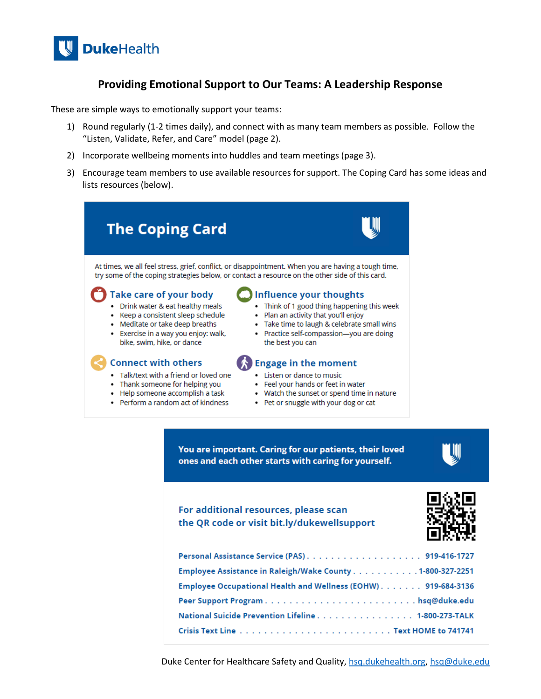

## **Providing Emotional Support to Our Teams: A Leadership Response**

These are simple ways to emotionally support your teams:

- 1) Round regularly (1-2 times daily), and connect with as many team members as possible. Follow the "Listen, Validate, Refer, and Care" model (page 2).
- 2) Incorporate wellbeing moments into huddles and team meetings (page 3).
- 3) Encourage team members to use available resources for support. The Coping Card has some ideas and lists resources (below).

| At times, we all feel stress, grief, conflict, or disappointment. When you are having a tough time,<br>try some of the coping strategies below, or contact a resource on the other side of this card.<br>Take care of your body<br><b>Influence your thoughts</b><br>Drink water & eat healthy meals<br>• Think of 1 good thing happening this week<br>Keep a consistent sleep schedule<br>Plan an activity that you'll enjoy<br>٠<br>• Meditate or take deep breaths<br>• Take time to laugh & celebrate small wins<br>• Exercise in a way you enjoy: walk,<br>• Practice self-compassion-you are doing<br>bike, swim, hike, or dance<br>the best you can<br><b>Connect with others</b><br><b>Engage in the moment</b><br>Talk/text with a friend or loved one<br>• Listen or dance to music<br>Thank someone for helping you<br>Feel your hands or feet in water<br>Help someone accomplish a task<br>• Watch the sunset or spend time in nature<br>Perform a random act of kindness<br>• Pet or snuggle with your dog or cat<br>You are important. Caring for our patients, their loved<br>ones and each other starts with caring for yourself. |
|----------------------------------------------------------------------------------------------------------------------------------------------------------------------------------------------------------------------------------------------------------------------------------------------------------------------------------------------------------------------------------------------------------------------------------------------------------------------------------------------------------------------------------------------------------------------------------------------------------------------------------------------------------------------------------------------------------------------------------------------------------------------------------------------------------------------------------------------------------------------------------------------------------------------------------------------------------------------------------------------------------------------------------------------------------------------------------------------------------------------------------------------------|
|                                                                                                                                                                                                                                                                                                                                                                                                                                                                                                                                                                                                                                                                                                                                                                                                                                                                                                                                                                                                                                                                                                                                                    |
|                                                                                                                                                                                                                                                                                                                                                                                                                                                                                                                                                                                                                                                                                                                                                                                                                                                                                                                                                                                                                                                                                                                                                    |

the QR code or visit bit.ly/dukewellsupport

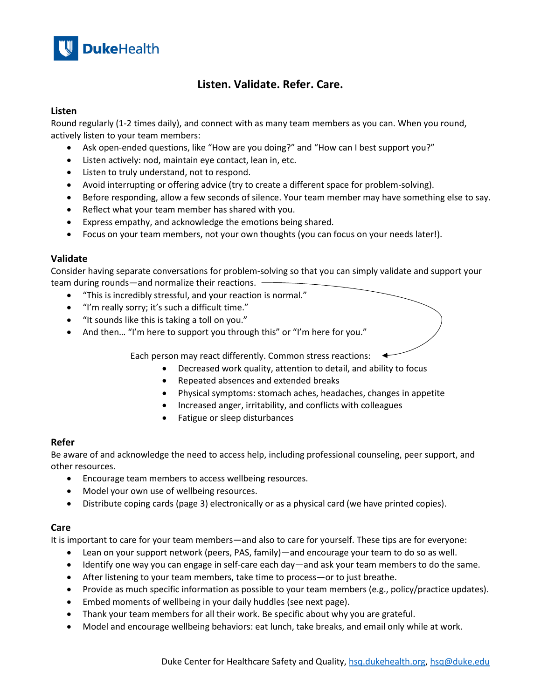

# **Listen. Validate. Refer. Care.**

### **Listen**

Round regularly (1-2 times daily), and connect with as many team members as you can. When you round, actively listen to your team members:

- Ask open-ended questions, like "How are you doing?" and "How can I best support you?"
- Listen actively: nod, maintain eye contact, lean in, etc.
- Listen to truly understand, not to respond.
- Avoid interrupting or offering advice (try to create a different space for problem-solving).
- Before responding, allow a few seconds of silence. Your team member may have something else to say.
- Reflect what your team member has shared with you.
- Express empathy, and acknowledge the emotions being shared.
- Focus on your team members, not your own thoughts (you can focus on your needs later!).

### **Validate**

Consider having separate conversations for problem-solving so that you can simply validate and support your team during rounds—and normalize their reactions.

- "This is incredibly stressful, and your reaction is normal."
- "I'm really sorry; it's such a difficult time."
- "It sounds like this is taking a toll on you."
- And then... "I'm here to support you through this" or "I'm here for you."

Each person may react differently. Common stress reactions:

- Decreased work quality, attention to detail, and ability to focus
- Repeated absences and extended breaks
- Physical symptoms: stomach aches, headaches, changes in appetite
- Increased anger, irritability, and conflicts with colleagues
	- Fatigue or sleep disturbances

## **Refer**

Be aware of and acknowledge the need to access help, including professional counseling, peer support, and other resources.

- Encourage team members to access wellbeing resources.
- Model your own use of wellbeing resources.
- Distribute coping cards (page 3) electronically or as a physical card (we have printed copies).

### **Care**

It is important to care for your team members—and also to care for yourself. These tips are for everyone:

- Lean on your support network (peers, PAS, family)—and encourage your team to do so as well.
- Identify one way you can engage in self-care each day—and ask your team members to do the same.
- After listening to your team members, take time to process—or to just breathe.
- Provide as much specific information as possible to your team members (e.g., policy/practice updates).
- Embed moments of wellbeing in your daily huddles (see next page).
- Thank your team members for all their work. Be specific about why you are grateful.
- Model and encourage wellbeing behaviors: eat lunch, take breaks, and email only while at work.